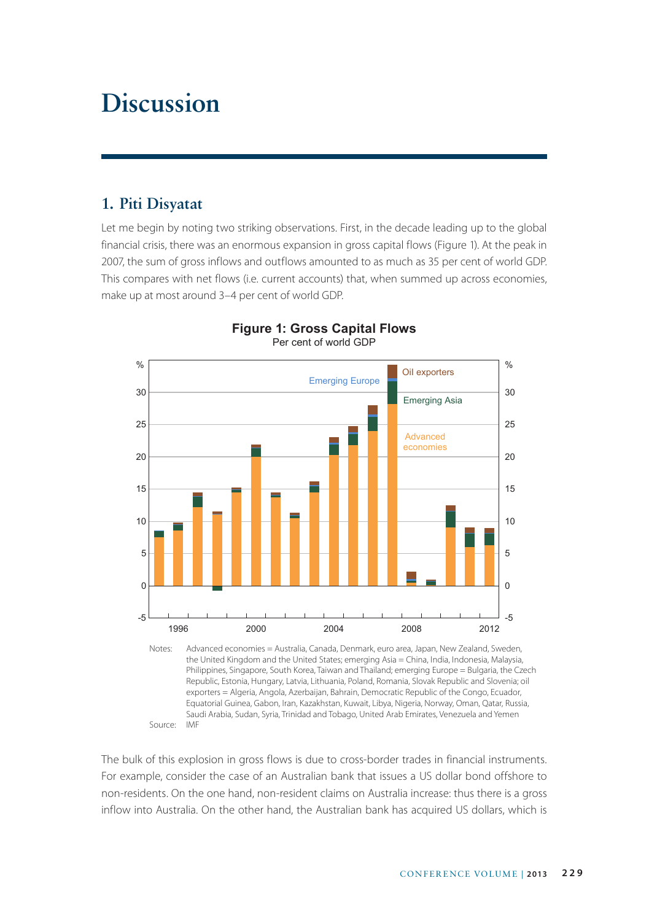# **Discussion**

# **1. Piti Disyatat**

Let me begin by noting two striking observations. First, in the decade leading up to the global financial crisis, there was an enormous expansion in gross capital flows (Figure 1). At the peak in 2007, the sum of gross inflows and outflows amounted to as much as 35 per cent of world GDP. This compares with net flows (i.e. current accounts) that, when summed up across economies, make up at most around 3–4 per cent of world GDP.



#### **Figure 1: Gross Capital Flows** Per cent of world GDP

Notes: Advanced economies = Australia, Canada, Denmark, euro area, Japan, New Zealand, Sweden, the United Kingdom and the United States; emerging Asia = China, India, Indonesia, Malaysia, Philippines, Singapore, South Korea, Taiwan and Thailand; emerging Europe = Bulgaria, the Czech Republic, Estonia, Hungary, Latvia, Lithuania, Poland, Romania, Slovak Republic and Slovenia; oil exporters = Algeria, Angola, Azerbaijan, Bahrain, Democratic Republic of the Congo, Ecuador, Equatorial Guinea, Gabon, Iran, Kazakhstan, Kuwait, Libya, Nigeria, Norway, Oman, Qatar, Russia, Saudi Arabia, Sudan, Syria, Trinidad and Tobago, United Arab Emirates, Venezuela and Yemen Source: IMF

The bulk of this explosion in gross flows is due to cross-border trades in financial instruments. For example, consider the case of an Australian bank that issues a US dollar bond offshore to non-residents. On the one hand, non-resident claims on Australia increase: thus there is a gross inflow into Australia. On the other hand, the Australian bank has acquired US dollars, which is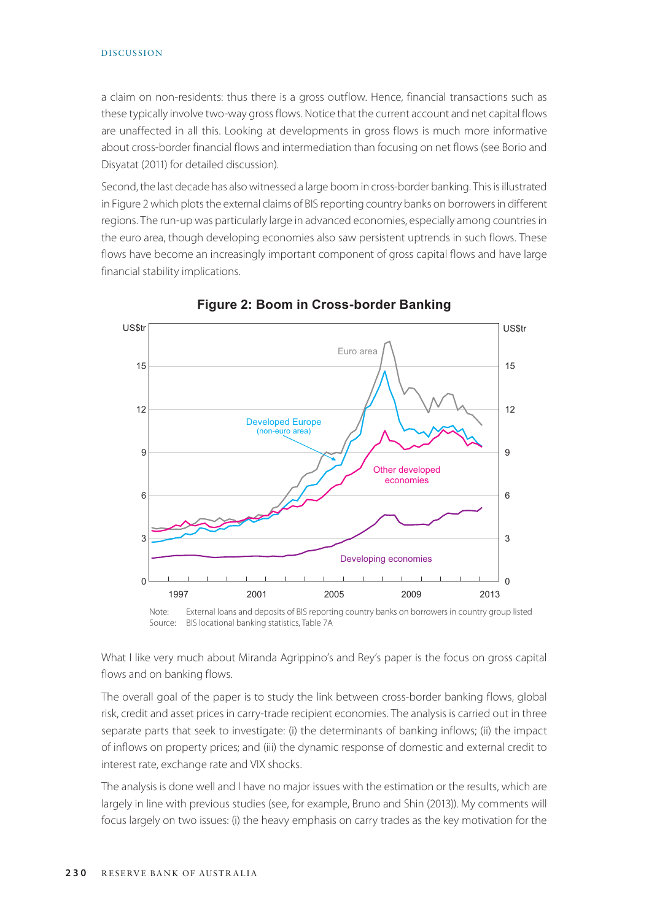#### DISCUSSION

a claim on non-residents: thus there is a gross outflow. Hence, financial transactions such as these typically involve two-way gross flows. Notice that the current account and net capital flows are unaffected in all this. Looking at developments in gross flows is much more informative about cross-border financial flows and intermediation than focusing on net flows (see Borio and Disyatat (2011) for detailed discussion).

Second, the last decade has also witnessed a large boom in cross-border banking. This is illustrated in Figure 2 which plots the external claims of BIS reporting country banks on borrowers in different regions. The run-up was particularly large in advanced economies, especially among countries in the euro area, though developing economies also saw persistent uptrends in such flows. These flows have become an increasingly important component of gross capital flows and have large financial stability implications.



**Figure 2: Boom in Cross-border Banking**

Note: External loans and deposits of BIS reporting country banks on borrowers in country group listed Source: BIS locational banking statistics, Table 7A

What I like very much about Miranda Agrippino's and Rey's paper is the focus on gross capital flows and on banking flows.

The overall goal of the paper is to study the link between cross-border banking flows, global risk, credit and asset prices in carry-trade recipient economies. The analysis is carried out in three separate parts that seek to investigate: (i) the determinants of banking inflows; (ii) the impact of inflows on property prices; and (iii) the dynamic response of domestic and external credit to interest rate, exchange rate and VIX shocks.

The analysis is done well and I have no major issues with the estimation or the results, which are largely in line with previous studies (see, for example, Bruno and Shin (2013)). My comments will focus largely on two issues: (i) the heavy emphasis on carry trades as the key motivation for the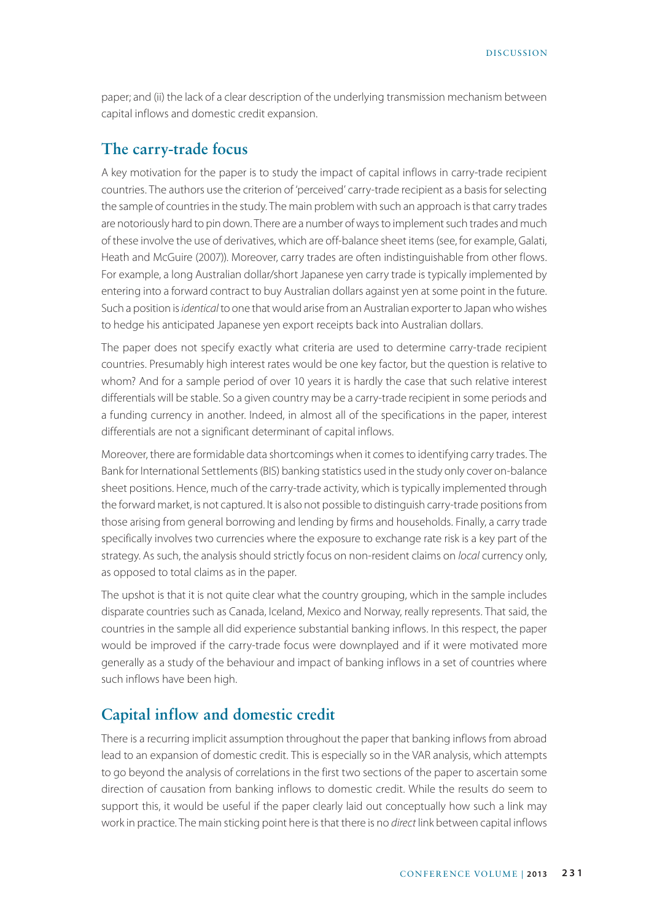paper; and (ii) the lack of a clear description of the underlying transmission mechanism between capital inflows and domestic credit expansion.

## **The carry-trade focus**

A key motivation for the paper is to study the impact of capital inflows in carry-trade recipient countries. The authors use the criterion of 'perceived' carry-trade recipient as a basis for selecting the sample of countries in the study. The main problem with such an approach is that carry trades are notoriously hard to pin down. There are a number of ways to implement such trades and much of these involve the use of derivatives, which are off-balance sheet items (see, for example, Galati, Heath and McGuire (2007)). Moreover, carry trades are often indistinguishable from other flows. For example, a long Australian dollar/short Japanese yen carry trade is typically implemented by entering into a forward contract to buy Australian dollars against yen at some point in the future. Such a position is *identical* to one that would arise from an Australian exporter to Japan who wishes to hedge his anticipated Japanese yen export receipts back into Australian dollars.

The paper does not specify exactly what criteria are used to determine carry-trade recipient countries. Presumably high interest rates would be one key factor, but the question is relative to whom? And for a sample period of over 10 years it is hardly the case that such relative interest differentials will be stable. So a given country may be a carry-trade recipient in some periods and a funding currency in another. Indeed, in almost all of the specifications in the paper, interest differentials are not a significant determinant of capital inflows.

Moreover, there are formidable data shortcomings when it comes to identifying carry trades. The Bank for International Settlements (BIS) banking statistics used in the study only cover on-balance sheet positions. Hence, much of the carry-trade activity, which is typically implemented through the forward market, is not captured. It is also not possible to distinguish carry-trade positions from those arising from general borrowing and lending by firms and households. Finally, a carry trade specifically involves two currencies where the exposure to exchange rate risk is a key part of the strategy. As such, the analysis should strictly focus on non-resident claims on *local* currency only, as opposed to total claims as in the paper.

The upshot is that it is not quite clear what the country grouping, which in the sample includes disparate countries such as Canada, Iceland, Mexico and Norway, really represents. That said, the countries in the sample all did experience substantial banking inflows. In this respect, the paper would be improved if the carry-trade focus were downplayed and if it were motivated more generally as a study of the behaviour and impact of banking inflows in a set of countries where such inflows have been high.

## **Capital inflow and domestic credit**

There is a recurring implicit assumption throughout the paper that banking inflows from abroad lead to an expansion of domestic credit. This is especially so in the VAR analysis, which attempts to go beyond the analysis of correlations in the first two sections of the paper to ascertain some direction of causation from banking inflows to domestic credit. While the results do seem to support this, it would be useful if the paper clearly laid out conceptually how such a link may work in practice. The main sticking point here is that there is no *direct* link between capital inflows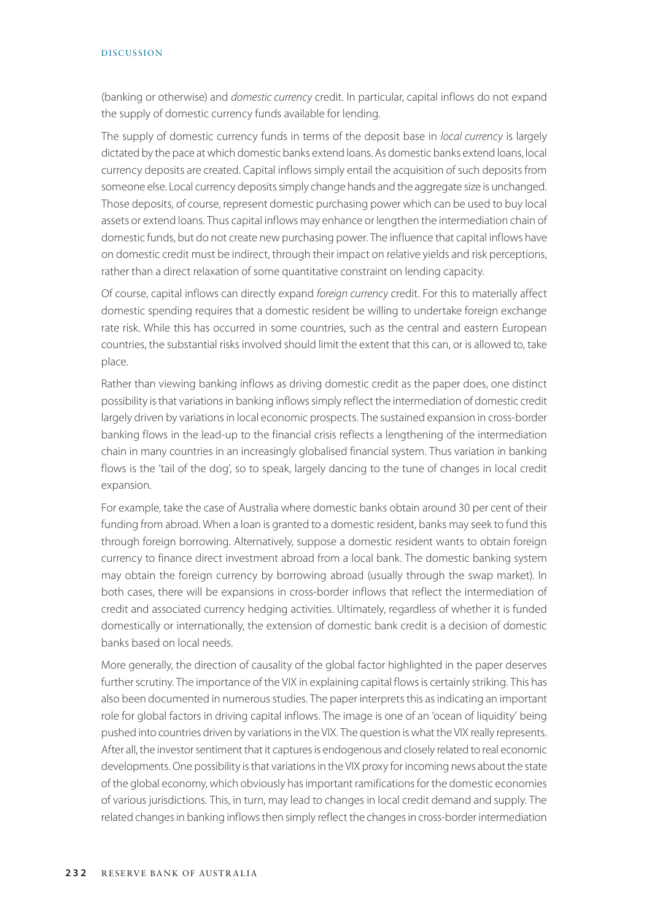#### DISCUSSION

(banking or otherwise) and *domestic currency* credit. In particular, capital inflows do not expand the supply of domestic currency funds available for lending.

The supply of domestic currency funds in terms of the deposit base in *local currency* is largely dictated by the pace at which domestic banks extend loans. As domestic banks extend loans, local currency deposits are created. Capital inflows simply entail the acquisition of such deposits from someone else. Local currency deposits simply change hands and the aggregate size is unchanged. Those deposits, of course, represent domestic purchasing power which can be used to buy local assets or extend loans. Thus capital inflows may enhance or lengthen the intermediation chain of domestic funds, but do not create new purchasing power. The influence that capital inflows have on domestic credit must be indirect, through their impact on relative yields and risk perceptions, rather than a direct relaxation of some quantitative constraint on lending capacity.

Of course, capital inflows can directly expand *foreign currency* credit. For this to materially affect domestic spending requires that a domestic resident be willing to undertake foreign exchange rate risk. While this has occurred in some countries, such as the central and eastern European countries, the substantial risks involved should limit the extent that this can, or is allowed to, take place.

Rather than viewing banking inflows as driving domestic credit as the paper does, one distinct possibility is that variations in banking inflows simply reflect the intermediation of domestic credit largely driven by variations in local economic prospects. The sustained expansion in cross-border banking flows in the lead-up to the financial crisis reflects a lengthening of the intermediation chain in many countries in an increasingly globalised financial system. Thus variation in banking flows is the 'tail of the dog', so to speak, largely dancing to the tune of changes in local credit expansion.

For example, take the case of Australia where domestic banks obtain around 30 per cent of their funding from abroad. When a loan is granted to a domestic resident, banks may seek to fund this through foreign borrowing. Alternatively, suppose a domestic resident wants to obtain foreign currency to finance direct investment abroad from a local bank. The domestic banking system may obtain the foreign currency by borrowing abroad (usually through the swap market). In both cases, there will be expansions in cross-border inflows that reflect the intermediation of credit and associated currency hedging activities. Ultimately, regardless of whether it is funded domestically or internationally, the extension of domestic bank credit is a decision of domestic banks based on local needs.

More generally, the direction of causality of the global factor highlighted in the paper deserves further scrutiny. The importance of the VIX in explaining capital flows is certainly striking. This has also been documented in numerous studies. The paper interprets this as indicating an important role for global factors in driving capital inflows. The image is one of an 'ocean of liquidity' being pushed into countries driven by variations in the VIX. The question is what the VIX really represents. After all, the investor sentiment that it captures is endogenous and closely related to real economic developments. One possibility is that variations in the VIX proxy for incoming news about the state of the global economy, which obviously has important ramifications for the domestic economies of various jurisdictions. This, in turn, may lead to changes in local credit demand and supply. The related changes in banking inflows then simply reflect the changes in cross-border intermediation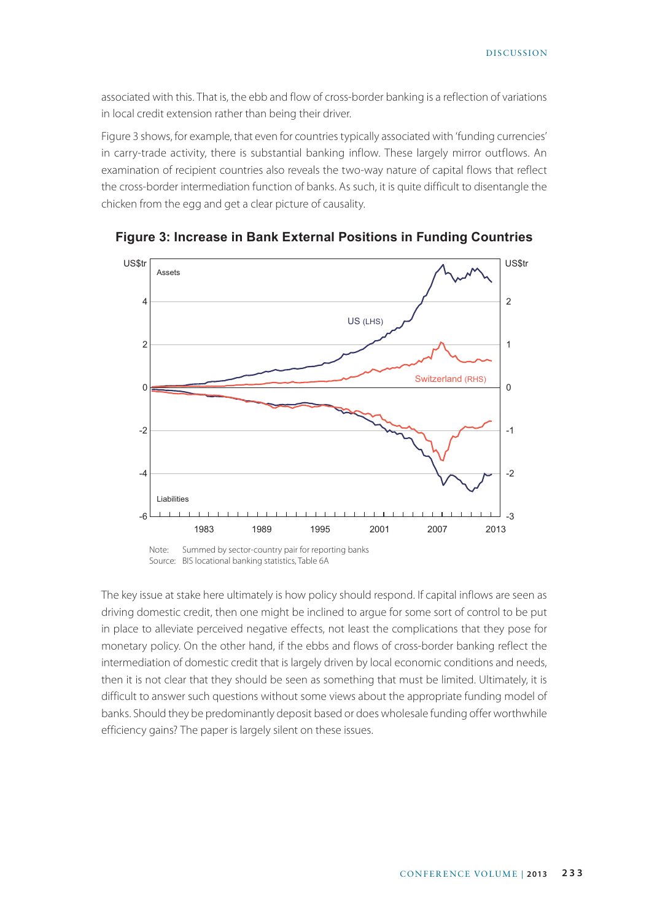associated with this. That is, the ebb and flow of cross-border banking is a reflection of variations in local credit extension rather than being their driver.

Figure 3 shows, for example, that even for countries typically associated with 'funding currencies' in carry-trade activity, there is substantial banking inflow. These largely mirror outflows. An examination of recipient countries also reveals the two-way nature of capital flows that reflect the cross-border intermediation function of banks. As such, it is quite difficult to disentangle the chicken from the egg and get a clear picture of causality.



**Figure 3: Increase in Bank External Positions in Funding Countries**

Note: Summed by sector-country pair for reporting banks Source: BIS locational banking statistics, Table 6A

The key issue at stake here ultimately is how policy should respond. If capital inflows are seen as driving domestic credit, then one might be inclined to argue for some sort of control to be put in place to alleviate perceived negative effects, not least the complications that they pose for monetary policy. On the other hand, if the ebbs and flows of cross-border banking reflect the intermediation of domestic credit that is largely driven by local economic conditions and needs, then it is not clear that they should be seen as something that must be limited. Ultimately, it is difficult to answer such questions without some views about the appropriate funding model of banks. Should they be predominantly deposit based or does wholesale funding offer worthwhile efficiency gains? The paper is largely silent on these issues.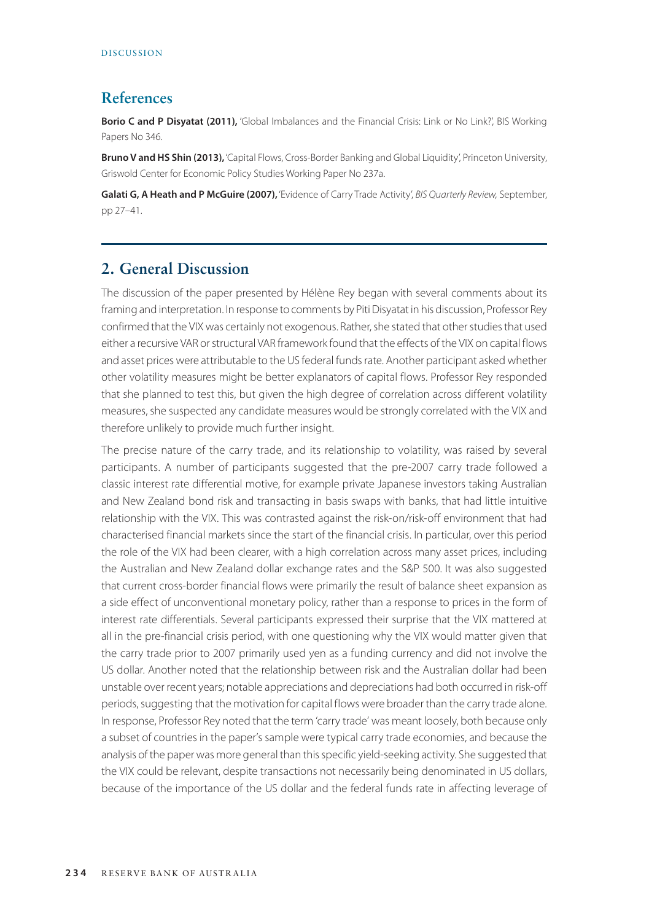# **References**

**Borio C and P Disyatat (2011),** 'Global Imbalances and the Financial Crisis: Link or No Link?', BIS Working Papers No 346.

**Bruno V and HS Shin (2013),** 'Capital Flows, Cross-Border Banking and Global Liquidity', Princeton University, Griswold Center for Economic Policy Studies Working Paper No 237a.

**Galati G, A Heath and P McGuire (2007),** 'Evidence of Carry Trade Activity', *BIS Quarterly Review,* September, pp 27–41.

## **2. General Discussion**

The discussion of the paper presented by Hélène Rey began with several comments about its framing and interpretation. In response to comments by Piti Disyatat in his discussion, Professor Rey confirmed that the VIX was certainly not exogenous. Rather, she stated that other studies that used either a recursive VAR or structural VAR framework found that the effects of the VIX on capital flows and asset prices were attributable to the US federal funds rate. Another participant asked whether other volatility measures might be better explanators of capital flows. Professor Rey responded that she planned to test this, but given the high degree of correlation across different volatility measures, she suspected any candidate measures would be strongly correlated with the VIX and therefore unlikely to provide much further insight.

The precise nature of the carry trade, and its relationship to volatility, was raised by several participants. A number of participants suggested that the pre-2007 carry trade followed a classic interest rate differential motive, for example private Japanese investors taking Australian and New Zealand bond risk and transacting in basis swaps with banks, that had little intuitive relationship with the VIX. This was contrasted against the risk-on/risk-off environment that had characterised financial markets since the start of the financial crisis. In particular, over this period the role of the VIX had been clearer, with a high correlation across many asset prices, including the Australian and New Zealand dollar exchange rates and the S&P 500. It was also suggested that current cross-border financial flows were primarily the result of balance sheet expansion as a side effect of unconventional monetary policy, rather than a response to prices in the form of interest rate differentials. Several participants expressed their surprise that the VIX mattered at all in the pre-financial crisis period, with one questioning why the VIX would matter given that the carry trade prior to 2007 primarily used yen as a funding currency and did not involve the US dollar. Another noted that the relationship between risk and the Australian dollar had been unstable over recent years; notable appreciations and depreciations had both occurred in risk-off periods, suggesting that the motivation for capital flows were broader than the carry trade alone. In response, Professor Rey noted that the term 'carry trade' was meant loosely, both because only a subset of countries in the paper's sample were typical carry trade economies, and because the analysis of the paper was more general than this specific yield-seeking activity. She suggested that the VIX could be relevant, despite transactions not necessarily being denominated in US dollars, because of the importance of the US dollar and the federal funds rate in affecting leverage of